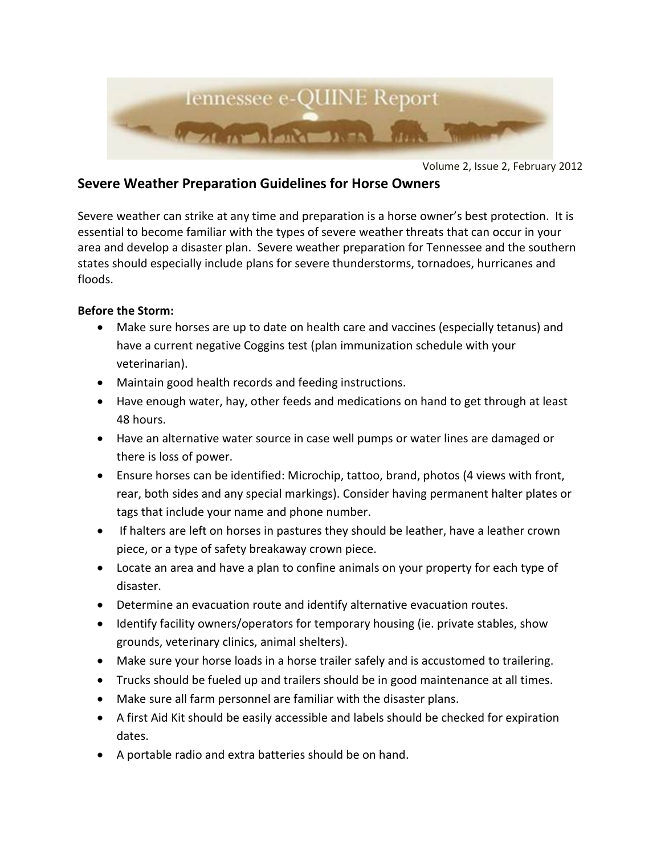

Volume 2, Issue 2, February 2012

## **Severe Weather Preparation Guidelines for Horse Owners**

Severe weather can strike at any time and preparation is a horse owner's best protection. It is essential to become familiar with the types of severe weather threats that can occur in your area and develop a disaster plan. Severe weather preparation for Tennessee and the southern states should especially include plans for severe thunderstorms, tornadoes, hurricanes and floods.

## **Before the Storm:**

- Make sure horses are up to date on health care and vaccines (especially tetanus) and have a current negative Coggins test (plan immunization schedule with your veterinarian).
- Maintain good health records and feeding instructions.
- Have enough water, hay, other feeds and medications on hand to get through at least 48 hours.
- Have an alternative water source in case well pumps or water lines are damaged or there is loss of power.
- Ensure horses can be identified: Microchip, tattoo, brand, photos (4 views with front, rear, both sides and any special markings). Consider having permanent halter plates or tags that include your name and phone number.
- If halters are left on horses in pastures they should be leather, have a leather crown piece, or a type of safety breakaway crown piece.
- Locate an area and have a plan to confine animals on your property for each type of disaster.
- Determine an evacuation route and identify alternative evacuation routes.
- Identify facility owners/operators for temporary housing (ie. private stables, show grounds, veterinary clinics, animal shelters).
- Make sure your horse loads in a horse trailer safely and is accustomed to trailering.
- Trucks should be fueled up and trailers should be in good maintenance at all times.
- Make sure all farm personnel are familiar with the disaster plans.
- A first Aid Kit should be easily accessible and labels should be checked for expiration dates.
- A portable radio and extra batteries should be on hand.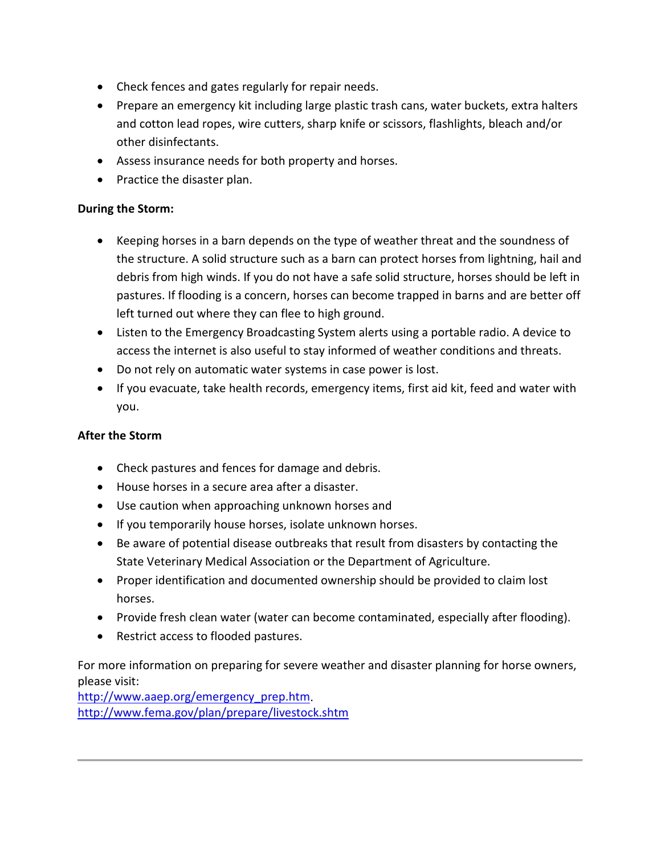- Check fences and gates regularly for repair needs.
- Prepare an emergency kit including large plastic trash cans, water buckets, extra halters and cotton lead ropes, wire cutters, sharp knife or scissors, flashlights, bleach and/or other disinfectants.
- Assess insurance needs for both property and horses.
- Practice the disaster plan.

## **During the Storm:**

- Keeping horses in a barn depends on the type of weather threat and the soundness of the structure. A solid structure such as a barn can protect horses from lightning, hail and debris from high winds. If you do not have a safe solid structure, horses should be left in pastures. If flooding is a concern, horses can become trapped in barns and are better off left turned out where they can flee to high ground.
- Listen to the Emergency Broadcasting System alerts using a portable radio. A device to access the internet is also useful to stay informed of weather conditions and threats.
- Do not rely on automatic water systems in case power is lost.
- If you evacuate, take health records, emergency items, first aid kit, feed and water with you.

## **After the Storm**

- Check pastures and fences for damage and debris.
- House horses in a secure area after a disaster.
- Use caution when approaching unknown horses and
- If you temporarily house horses, isolate unknown horses.
- Be aware of potential disease outbreaks that result from disasters by contacting the State Veterinary Medical Association or the Department of Agriculture.
- Proper identification and documented ownership should be provided to claim lost horses.
- Provide fresh clean water (water can become contaminated, especially after flooding).
- Restrict access to flooded pastures.

For more information on preparing for severe weather and disaster planning for horse owners, please visit:

[http://www.aaep.org/emergency\\_prep.htm.](http://www.aaep.org/emergency_prep.htm) <http://www.fema.gov/plan/prepare/livestock.shtm>